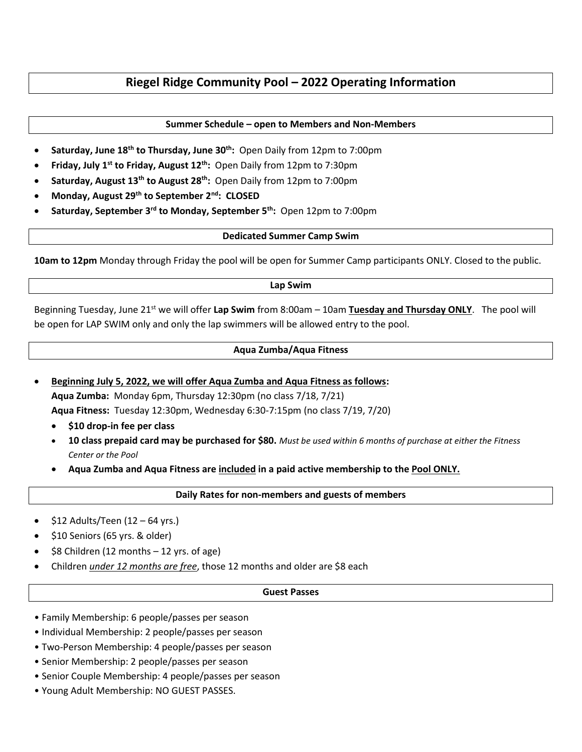# **Riegel Ridge Community Pool – 2022 Operating Information**

### **Summer Schedule – open to Members and Non-Members**

- **Saturday, June 18th to Thursday, June 30th:** Open Daily from 12pm to 7:00pm
- **Friday, July 1st to Friday, August 12th:** Open Daily from 12pm to 7:30pm
- **Saturday, August 13th to August 28th:** Open Daily from 12pm to 7:00pm
- **Monday, August 29th to September 2nd: CLOSED**
- **Saturday, September 3rd to Monday, September 5th:** Open 12pm to 7:00pm

#### **Dedicated Summer Camp Swim**

**10am to 12pm** Monday through Friday the pool will be open for Summer Camp participants ONLY. Closed to the public.

#### **Lap Swim**

Beginning Tuesday, June 21st we will offer **Lap Swim** from 8:00am – 10am **Tuesday and Thursday ONLY**. The pool will be open for LAP SWIM only and only the lap swimmers will be allowed entry to the pool.

### **Aqua Zumba/Aqua Fitness**

- **Beginning July 5, 2022, we will offer Aqua Zumba and Aqua Fitness as follows: Aqua Zumba:** Monday 6pm, Thursday 12:30pm (no class 7/18, 7/21) **Aqua Fitness:** Tuesday 12:30pm, Wednesday 6:30-7:15pm (no class 7/19, 7/20)
	- **\$10 drop-in fee per class**
	- **10 class prepaid card may be purchased for \$80.** *Must be used within 6 months of purchase at either the Fitness Center or the Pool*
	- **Aqua Zumba and Aqua Fitness are included in a paid active membership to the Pool ONLY.**

### **Daily Rates for non-members and guests of members**

- \$12 Adults/Teen (12 64 yrs.)
- \$10 Seniors (65 yrs. & older)
- $$8$  Children (12 months  $-12$  yrs. of age)
- Children *under 12 months are free*, those 12 months and older are \$8 each

#### **Guest Passes**

- Family Membership: 6 people/passes per season
- Individual Membership: 2 people/passes per season
- Two-Person Membership: 4 people/passes per season
- Senior Membership: 2 people/passes per season
- Senior Couple Membership: 4 people/passes per season
- Young Adult Membership: NO GUEST PASSES.